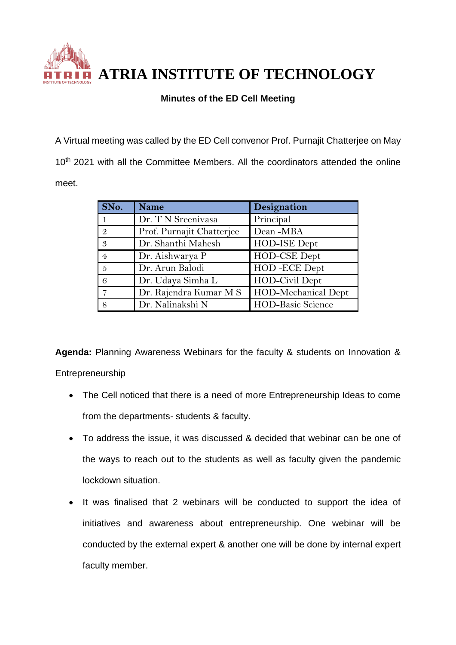

**ATRIA INSTITUTE OF TECHNOLOGY**

## **Minutes of the ED Cell Meeting**

A Virtual meeting was called by the ED Cell convenor Prof. Purnajit Chatterjee on May 10<sup>th</sup> 2021 with all the Committee Members. All the coordinators attended the online meet.

| SNo.           | <b>Name</b>               | Designation              |
|----------------|---------------------------|--------------------------|
|                | Dr. T N Sreenivasa        | Principal                |
| $\mathcal{Q}$  | Prof. Purnajit Chatterjee | Dean-MBA                 |
| 3              | Dr. Shanthi Mahesh        | HOD-ISE Dept             |
| $\overline{4}$ | Dr. Aishwarya P           | HOD-CSE Dept             |
| $\frac{5}{2}$  | Dr. Arun Balodi           | HOD-ECE Dept             |
| 6              | Dr. Udaya Simha L         | HOD-Civil Dept           |
|                | Dr. Rajendra Kumar M S    | HOD-Mechanical Dept      |
| 8              | Dr. Nalinakshi N          | <b>HOD-Basic Science</b> |

**Agenda:** Planning Awareness Webinars for the faculty & students on Innovation & Entrepreneurship

- The Cell noticed that there is a need of more Entrepreneurship Ideas to come from the departments- students & faculty.
- To address the issue, it was discussed & decided that webinar can be one of the ways to reach out to the students as well as faculty given the pandemic lockdown situation.
- It was finalised that 2 webinars will be conducted to support the idea of initiatives and awareness about entrepreneurship. One webinar will be conducted by the external expert & another one will be done by internal expert faculty member.